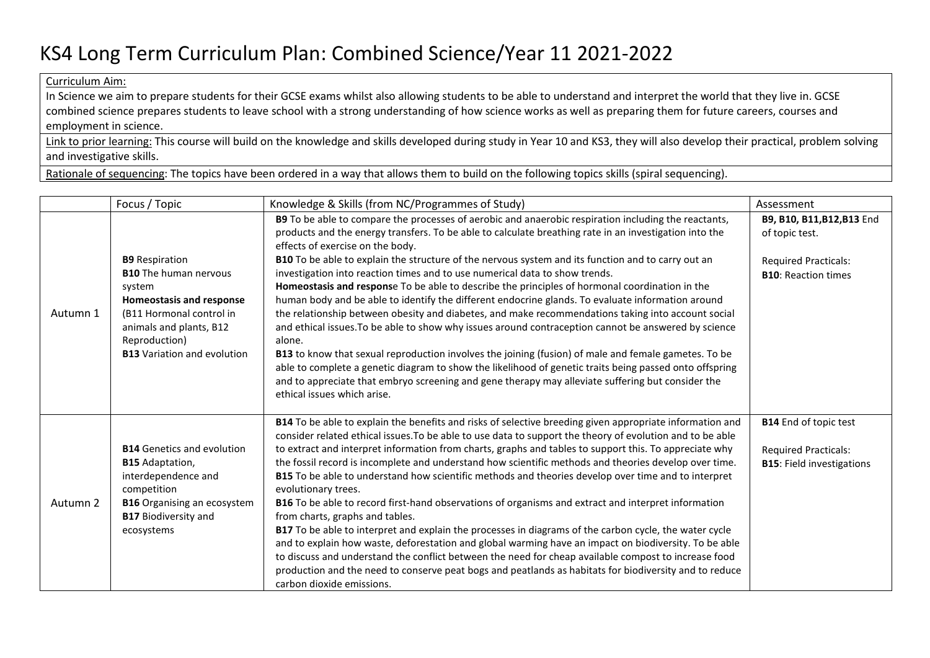## KS4 Long Term Curriculum Plan: Combined Science/Year 11 2021-2022

Curriculum Aim:

In Science we aim to prepare students for their GCSE exams whilst also allowing students to be able to understand and interpret the world that they live in. GCSE combined science prepares students to leave school with a strong understanding of how science works as well as preparing them for future careers, courses and employment in science.

Link to prior learning: This course will build on the knowledge and skills developed during study in Year 10 and KS3, they will also develop their practical, problem solving and investigative skills.

Rationale of sequencing: The topics have been ordered in a way that allows them to build on the following topics skills (spiral sequencing).

|          | Focus / Topic                                                                                                                                                                                                    | Knowledge & Skills (from NC/Programmes of Study)                                                                                                                                                                                                                                                                                                                                                                                                                                                                                                                                                                                                                                                                                                                                                                                                                                                                                                                                                                                                                                                                                                                                                                              | Assessment                                                                                                |
|----------|------------------------------------------------------------------------------------------------------------------------------------------------------------------------------------------------------------------|-------------------------------------------------------------------------------------------------------------------------------------------------------------------------------------------------------------------------------------------------------------------------------------------------------------------------------------------------------------------------------------------------------------------------------------------------------------------------------------------------------------------------------------------------------------------------------------------------------------------------------------------------------------------------------------------------------------------------------------------------------------------------------------------------------------------------------------------------------------------------------------------------------------------------------------------------------------------------------------------------------------------------------------------------------------------------------------------------------------------------------------------------------------------------------------------------------------------------------|-----------------------------------------------------------------------------------------------------------|
| Autumn 1 | <b>B9</b> Respiration<br><b>B10</b> The human nervous<br>system<br><b>Homeostasis and response</b><br>(B11 Hormonal control in<br>animals and plants, B12<br>Reproduction)<br><b>B13</b> Variation and evolution | B9 To be able to compare the processes of aerobic and anaerobic respiration including the reactants,<br>products and the energy transfers. To be able to calculate breathing rate in an investigation into the<br>effects of exercise on the body.<br>B10 To be able to explain the structure of the nervous system and its function and to carry out an<br>investigation into reaction times and to use numerical data to show trends.<br>Homeostasis and response To be able to describe the principles of hormonal coordination in the<br>human body and be able to identify the different endocrine glands. To evaluate information around<br>the relationship between obesity and diabetes, and make recommendations taking into account social<br>and ethical issues. To be able to show why issues around contraception cannot be answered by science<br>alone.<br>B13 to know that sexual reproduction involves the joining (fusion) of male and female gametes. To be<br>able to complete a genetic diagram to show the likelihood of genetic traits being passed onto offspring<br>and to appreciate that embryo screening and gene therapy may alleviate suffering but consider the<br>ethical issues which arise. | B9, B10, B11, B12, B13 End<br>of topic test.<br><b>Required Practicals:</b><br><b>B10: Reaction times</b> |
| Autumn 2 | <b>B14</b> Genetics and evolution<br><b>B15</b> Adaptation,<br>interdependence and<br>competition<br><b>B16</b> Organising an ecosystem<br><b>B17 Biodiversity and</b><br>ecosystems                             | B14 To be able to explain the benefits and risks of selective breeding given appropriate information and<br>consider related ethical issues. To be able to use data to support the theory of evolution and to be able<br>to extract and interpret information from charts, graphs and tables to support this. To appreciate why<br>the fossil record is incomplete and understand how scientific methods and theories develop over time.<br><b>B15</b> To be able to understand how scientific methods and theories develop over time and to interpret<br>evolutionary trees.<br>B16 To be able to record first-hand observations of organisms and extract and interpret information<br>from charts, graphs and tables.<br>B17 To be able to interpret and explain the processes in diagrams of the carbon cycle, the water cycle<br>and to explain how waste, deforestation and global warming have an impact on biodiversity. To be able<br>to discuss and understand the conflict between the need for cheap available compost to increase food<br>production and the need to conserve peat bogs and peatlands as habitats for biodiversity and to reduce<br>carbon dioxide emissions.                                     | <b>B14</b> End of topic test<br><b>Required Practicals:</b><br><b>B15: Field investigations</b>           |